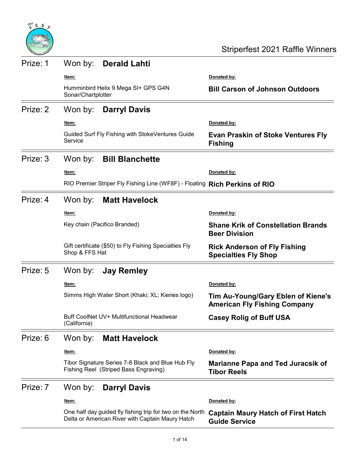

| Prize: 1 | Won by:<br><b>Derald Lahti</b>                                                                                |                                                                           |
|----------|---------------------------------------------------------------------------------------------------------------|---------------------------------------------------------------------------|
|          | <u>ltem:</u>                                                                                                  | Donated by:                                                               |
|          | Humminbird Helix 9 Mega SI+ GPS G4N<br>Sonar/Chartplotter                                                     | <b>Bill Carson of Johnson Outdoors</b>                                    |
| Prize: 2 | Won by:<br><b>Darryl Davis</b>                                                                                |                                                                           |
|          | <u>ltem:</u>                                                                                                  | Donated by:                                                               |
|          | Guided Surf Fly Fishing with StokeVentures Guide<br>Service                                                   | <b>Evan Praskin of Stoke Ventures Fly</b><br><b>Fishing</b>               |
| Prize: 3 | <b>Bill Blanchette</b><br>Won by:                                                                             |                                                                           |
|          | <u>ltem:</u>                                                                                                  | Donated by:                                                               |
|          | RIO Premier Striper Fly Fishing Line (WF8F) - Floating Rich Perkins of RIO                                    |                                                                           |
| Prize: 4 | Won by:<br><b>Matt Havelock</b>                                                                               |                                                                           |
|          | <u>ltem:</u>                                                                                                  | Donated by:                                                               |
|          | Key chain (Pacifico Branded)                                                                                  | <b>Shane Krik of Constellation Brands</b><br><b>Beer Division</b>         |
|          | Gift certificate (\$50) to Fly Fishing Specialties Fly<br>Shop & FFS Hat                                      | <b>Rick Anderson of Fly Fishing</b><br><b>Specialties Fly Shop</b>        |
| Prize: 5 | Won by:<br><b>Jay Remley</b>                                                                                  |                                                                           |
|          | ltem:                                                                                                         | Donated by:                                                               |
|          | Simms High Water Short (Khaki; XL; Kienes logo)                                                               | Tim Au-Young/Gary Eblen of Kiene's<br><b>American Fly Fishing Company</b> |
|          | Buff CoolNet UV+ Multifunctional Headwear<br>(California)                                                     | <b>Casey Rolig of Buff USA</b>                                            |
| Prize: 6 | <b>Matt Havelock</b><br>Won by:                                                                               |                                                                           |
|          | <u>ltem:</u>                                                                                                  | Donated by:                                                               |
|          | Tibor Signature Series 7-8 Black and Blue Hub Fly<br>Fishing Reel (Striped Bass Engraving)                    | <b>Marianne Papa and Ted Juracsik of</b><br><b>Tibor Reels</b>            |
| Prize: 7 | Won by:<br><b>Darryl Davis</b>                                                                                |                                                                           |
|          | <u>ltem:</u>                                                                                                  | Donated by:                                                               |
|          | One half day guided fly fishing trip for two on the North<br>Delta or American River with Captain Maury Hatch | <b>Captain Maury Hatch of First Hatch</b><br><b>Guide Service</b>         |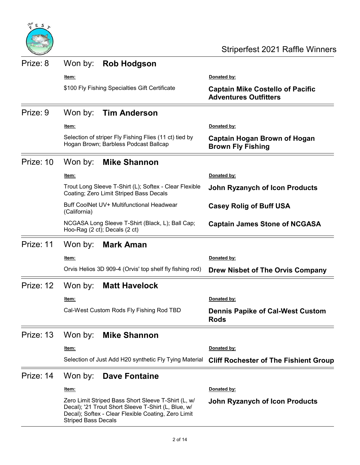

| Prize: 8  | Won by:                                                   | <b>Rob Hodgson</b>                                                                                                                                                |                                                                         |
|-----------|-----------------------------------------------------------|-------------------------------------------------------------------------------------------------------------------------------------------------------------------|-------------------------------------------------------------------------|
|           | ltem:                                                     |                                                                                                                                                                   | Donated by:                                                             |
|           |                                                           | \$100 Fly Fishing Specialties Gift Certificate                                                                                                                    | <b>Captain Mike Costello of Pacific</b><br><b>Adventures Outfitters</b> |
| Prize: 9  | Won by:                                                   | <b>Tim Anderson</b>                                                                                                                                               |                                                                         |
|           | Item:                                                     |                                                                                                                                                                   | Donated by:                                                             |
|           |                                                           | Selection of striper Fly Fishing Flies (11 ct) tied by<br>Hogan Brown; Barbless Podcast Ballcap                                                                   | Captain Hogan Brown of Hogan<br><b>Brown Fly Fishing</b>                |
| Prize: 10 | Won by:                                                   | <b>Mike Shannon</b>                                                                                                                                               |                                                                         |
|           | Item:                                                     |                                                                                                                                                                   | Donated by:                                                             |
|           |                                                           | Trout Long Sleeve T-Shirt (L); Softex - Clear Flexible<br>Coating; Zero Limit Striped Bass Decals                                                                 | <b>John Ryzanych of Icon Products</b>                                   |
|           | Buff CoolNet UV+ Multifunctional Headwear<br>(California) |                                                                                                                                                                   | <b>Casey Rolig of Buff USA</b>                                          |
|           |                                                           | NCGASA Long Sleeve T-Shirt (Black, L); Ball Cap;<br>Hoo-Rag (2 ct); Decals (2 ct)                                                                                 | <b>Captain James Stone of NCGASA</b>                                    |
| Prize: 11 | Won by:                                                   | <b>Mark Aman</b>                                                                                                                                                  |                                                                         |
|           | <u>ltem:</u>                                              |                                                                                                                                                                   | Donated by:                                                             |
|           |                                                           | Orvis Helios 3D 909-4 (Orvis' top shelf fly fishing rod)                                                                                                          | Drew Nisbet of The Orvis Company                                        |
| Prize: 12 | Won by:                                                   | <b>Matt Havelock</b>                                                                                                                                              |                                                                         |
|           | <u>ltem:</u>                                              |                                                                                                                                                                   | Donated by:                                                             |
|           |                                                           | Cal-West Custom Rods Fly Fishing Rod TBD                                                                                                                          | <b>Dennis Papike of Cal-West Custom</b><br><b>Rods</b>                  |
| Prize: 13 | Won by:                                                   | <b>Mike Shannon</b>                                                                                                                                               |                                                                         |
|           | <u>ltem:</u>                                              |                                                                                                                                                                   | Donated by:                                                             |
|           |                                                           | Selection of Just Add H20 synthetic Fly Tying Material                                                                                                            | <b>Cliff Rochester of The Fishient Group</b>                            |
| Prize: 14 | Won by:                                                   | Dave Fontaine                                                                                                                                                     |                                                                         |
|           | <u>ltem:</u>                                              |                                                                                                                                                                   | Donated by:                                                             |
|           | <b>Striped Bass Decals</b>                                | Zero Limit Striped Bass Short Sleeve T-Shirt (L, w/<br>Decal); '21 Trout Short Sleeve T-Shirt (L, Blue, w/<br>Decal); Softex - Clear Flexible Coating, Zero Limit | <b>John Ryzanych of Icon Products</b>                                   |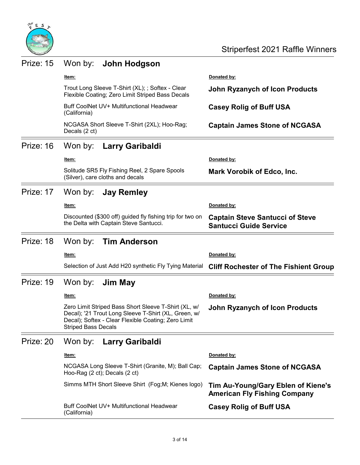

| Prize: 15 | Won by:<br>John Hodgson                                                                                                                                                                           |                                                                           |
|-----------|---------------------------------------------------------------------------------------------------------------------------------------------------------------------------------------------------|---------------------------------------------------------------------------|
|           | Item:                                                                                                                                                                                             | Donated by:                                                               |
|           | Trout Long Sleeve T-Shirt (XL); ; Softex - Clear<br>Flexible Coating; Zero Limit Striped Bass Decals                                                                                              | <b>John Ryzanych of Icon Products</b>                                     |
|           | Buff CoolNet UV+ Multifunctional Headwear<br>(California)                                                                                                                                         | <b>Casey Rolig of Buff USA</b>                                            |
|           | NCGASA Short Sleeve T-Shirt (2XL); Hoo-Rag;<br>Decals (2 ct)                                                                                                                                      | <b>Captain James Stone of NCGASA</b>                                      |
| Prize: 16 | Won by:<br>Larry Garibaldi                                                                                                                                                                        |                                                                           |
|           | <u>ltem:</u>                                                                                                                                                                                      | Donated by:                                                               |
|           | Solitude SR5 Fly Fishing Reel, 2 Spare Spools<br>(Silver), care cloths and decals                                                                                                                 | <b>Mark Vorobik of Edco, Inc.</b>                                         |
| Prize: 17 | Won by:<br><b>Jay Remley</b>                                                                                                                                                                      |                                                                           |
|           | ltem:                                                                                                                                                                                             | Donated by:                                                               |
|           | Discounted (\$300 off) guided fly fishing trip for two on<br>the Delta with Captain Steve Santucci.                                                                                               | <b>Captain Steve Santucci of Steve</b><br><b>Santucci Guide Service</b>   |
| Prize: 18 | Won by:<br><b>Tim Anderson</b>                                                                                                                                                                    |                                                                           |
|           | <u>ltem:</u>                                                                                                                                                                                      | Donated by:                                                               |
|           | Selection of Just Add H20 synthetic Fly Tying Material                                                                                                                                            | <b>Cliff Rochester of The Fishient Group</b>                              |
| Prize: 19 | Won by:<br>Jim May                                                                                                                                                                                |                                                                           |
|           | ltem:                                                                                                                                                                                             | Donated by:                                                               |
|           | Zero Limit Striped Bass Short Sleeve T-Shirt (XL, w/<br>Decal); '21 Trout Long Sleeve T-Shirt (XL, Green, w/<br>Decal); Softex - Clear Flexible Coating; Zero Limit<br><b>Striped Bass Decals</b> | <b>John Ryzanych of Icon Products</b>                                     |
| Prize: 20 | Won by:<br><b>Larry Garibaldi</b>                                                                                                                                                                 |                                                                           |
|           | Item:                                                                                                                                                                                             | Donated by:                                                               |
|           | NCGASA Long Sleeve T-Shirt (Granite, M); Ball Cap;<br>Hoo-Rag (2 ct); Decals (2 ct)                                                                                                               | <b>Captain James Stone of NCGASA</b>                                      |
|           | Simms MTH Short Sleeve Shirt (Fog; M; Kienes logo)                                                                                                                                                | Tim Au-Young/Gary Eblen of Kiene's<br><b>American Fly Fishing Company</b> |
|           | Buff CoolNet UV+ Multifunctional Headwear<br>(California)                                                                                                                                         | <b>Casey Rolig of Buff USA</b>                                            |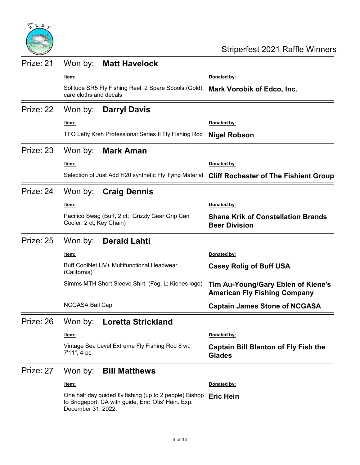

| Prize: 21 | Won by:<br><b>Matt Havelock</b>                                                                                                       |                                                                           |
|-----------|---------------------------------------------------------------------------------------------------------------------------------------|---------------------------------------------------------------------------|
|           | <u>ltem:</u>                                                                                                                          | Donated by:                                                               |
|           | Solitude SR5 Fly Fishing Reel, 2 Spare Spools (Gold),<br>care cloths and decals                                                       | <b>Mark Vorobik of Edco, Inc.</b>                                         |
| Prize: 22 | Won by:<br><b>Darryl Davis</b>                                                                                                        |                                                                           |
|           | <u>ltem:</u>                                                                                                                          | Donated by:                                                               |
|           | TFO Lefty Kreh Professional Series II Fly Fishing Rod                                                                                 | <b>Nigel Robson</b>                                                       |
| Prize: 23 | Won by:<br><b>Mark Aman</b>                                                                                                           |                                                                           |
|           | <u>ltem:</u>                                                                                                                          | Donated by:                                                               |
|           | Selection of Just Add H20 synthetic Fly Tying Material                                                                                | <b>Cliff Rochester of The Fishient Group</b>                              |
| Prize: 24 | Won by:<br><b>Craig Dennis</b>                                                                                                        |                                                                           |
|           | <u>ltem:</u>                                                                                                                          | Donated by:                                                               |
|           | Pacifico Swag (Buff, 2 ct; Grizzly Gear Grip Can<br>Cooler, 2 ct; Key Chain)                                                          | <b>Shane Krik of Constellation Brands</b><br><b>Beer Division</b>         |
| Prize: 25 | Won by:<br><b>Derald Lahti</b>                                                                                                        |                                                                           |
|           | <u>ltem:</u>                                                                                                                          | Donated by:                                                               |
|           | Buff CoolNet UV+ Multifunctional Headwear<br>(California)                                                                             | <b>Casey Rolig of Buff USA</b>                                            |
|           | Simms MTH Short Sleeve Shirt (Fog; L; Kienes logo)                                                                                    | Tim Au-Young/Gary Eblen of Kiene's<br><b>American Fly Fishing Company</b> |
|           | <b>NCGASA Ball Cap</b>                                                                                                                | <b>Captain James Stone of NCGASA</b>                                      |
|           | Prize: 26 Won by: Loretta Strickland                                                                                                  |                                                                           |
|           | <u>ltem:</u>                                                                                                                          | Donated by:                                                               |
|           | Vintage Sea Level Extreme Fly Fishing Rod 8 wt,<br>7'11", 4-pc                                                                        | <b>Captain Bill Blanton of Fly Fish the</b><br><b>Glades</b>              |
| Prize: 27 | Won by:<br><b>Bill Matthews</b>                                                                                                       |                                                                           |
|           | <u>ltem:</u>                                                                                                                          | Donated by:                                                               |
|           | One half day guided fly fishing (up to 2 people) Bishop<br>to Bridgeport, CA with guide, Eric 'Otis' Hein. Exp.<br>December 31, 2022. | <b>Eric Hein</b>                                                          |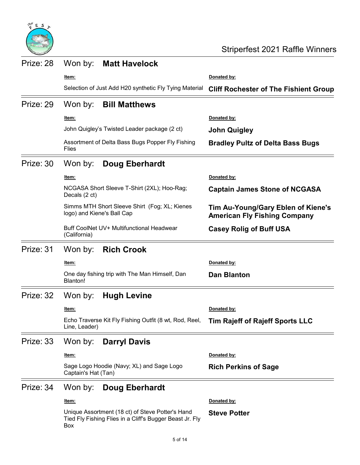

| Prize: 28 | Won by:                    | <b>Matt Havelock</b>                                                                                         |                                                                           |
|-----------|----------------------------|--------------------------------------------------------------------------------------------------------------|---------------------------------------------------------------------------|
|           | ltem:                      |                                                                                                              | Donated by:                                                               |
|           |                            | Selection of Just Add H20 synthetic Fly Tying Material                                                       | <b>Cliff Rochester of The Fishient Group</b>                              |
| Prize: 29 | Won by:                    | <b>Bill Matthews</b>                                                                                         |                                                                           |
|           | ltem:                      |                                                                                                              | Donated by:                                                               |
|           |                            | John Quigley's Twisted Leader package (2 ct)                                                                 | <b>John Quigley</b>                                                       |
|           | Flies                      | Assortment of Delta Bass Bugs Popper Fly Fishing                                                             | <b>Bradley Pultz of Delta Bass Bugs</b>                                   |
| Prize: 30 | Won by:                    | <b>Doug Eberhardt</b>                                                                                        |                                                                           |
|           | Item:                      |                                                                                                              | Donated by:                                                               |
|           | Decals (2 ct)              | NCGASA Short Sleeve T-Shirt (2XL); Hoo-Rag;                                                                  | <b>Captain James Stone of NCGASA</b>                                      |
|           | logo) and Kiene's Ball Cap | Simms MTH Short Sleeve Shirt (Fog; XL; Kienes                                                                | Tim Au-Young/Gary Eblen of Kiene's<br><b>American Fly Fishing Company</b> |
|           | (California)               | Buff CoolNet UV+ Multifunctional Headwear                                                                    | <b>Casey Rolig of Buff USA</b>                                            |
| Prize: 31 | Won by:                    | <b>Rich Crook</b>                                                                                            |                                                                           |
|           | ltem:                      |                                                                                                              | Donated by:                                                               |
|           | Blanton!                   | One day fishing trip with The Man Himself, Dan                                                               | <b>Dan Blanton</b>                                                        |
| Prize: 32 | Won by:                    | <b>Hugh Levine</b>                                                                                           |                                                                           |
|           | <u>ltem:</u>               |                                                                                                              | Donated by:                                                               |
|           | Line, Leader)              | Echo Traverse Kit Fly Fishing Outfit (8 wt, Rod, Reel,                                                       | Tim Rajeff of Rajeff Sports LLC                                           |
| Prize: 33 | Won by:                    | <b>Darryl Davis</b>                                                                                          |                                                                           |
|           | <u>ltem:</u>               |                                                                                                              | Donated by:                                                               |
|           | Captain's Hat (Tan)        | Sage Logo Hoodie (Navy; XL) and Sage Logo                                                                    | <b>Rich Perkins of Sage</b>                                               |
| Prize: 34 | Won by:                    | <b>Doug Eberhardt</b>                                                                                        |                                                                           |
|           | Item:                      |                                                                                                              | Donated by:                                                               |
|           | Box                        | Unique Assortment (18 ct) of Steve Potter's Hand<br>Tied Fly Fishing Flies in a Cliff's Bugger Beast Jr. Fly | <b>Steve Potter</b>                                                       |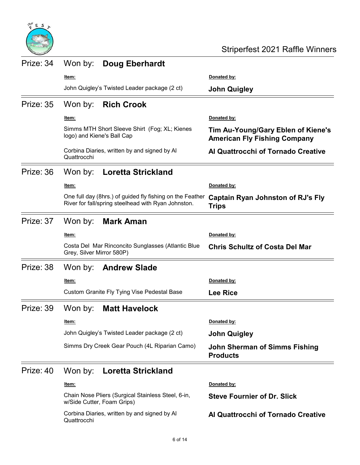

| Prize: 34 | Won by:<br><b>Doug Eberhardt</b>                                                                                 |                                                                           |
|-----------|------------------------------------------------------------------------------------------------------------------|---------------------------------------------------------------------------|
|           | ltem:                                                                                                            | Donated by:                                                               |
|           | John Quigley's Twisted Leader package (2 ct)                                                                     | <b>John Quigley</b>                                                       |
| Prize: 35 | Won by:<br><b>Rich Crook</b>                                                                                     |                                                                           |
|           | <u>ltem:</u>                                                                                                     | Donated by:                                                               |
|           | Simms MTH Short Sleeve Shirt (Fog; XL; Kienes<br>logo) and Kiene's Ball Cap                                      | Tim Au-Young/Gary Eblen of Kiene's<br><b>American Fly Fishing Company</b> |
|           | Corbina Diaries, written by and signed by Al<br>Quattrocchi                                                      | Al Quattrocchi of Tornado Creative                                        |
| Prize: 36 | Won by:<br><b>Loretta Strickland</b>                                                                             |                                                                           |
|           | <u>ltem:</u>                                                                                                     | Donated by:                                                               |
|           | One full day (8hrs.) of guided fly fishing on the Feather<br>River for fall/spring steelhead with Ryan Johnston. | <b>Captain Ryan Johnston of RJ's Fly</b><br><b>Trips</b>                  |
| Prize: 37 | Won by:<br><b>Mark Aman</b>                                                                                      |                                                                           |
|           | <u>ltem:</u>                                                                                                     | Donated by:                                                               |
|           | Costa Del Mar Rinconcito Sunglasses (Atlantic Blue<br>Grey, Silver Mirror 580P)                                  | <b>Chris Schultz of Costa Del Mar</b>                                     |
| Prize: 38 | Won by:<br><b>Andrew Slade</b>                                                                                   |                                                                           |
|           | <u>ltem:</u>                                                                                                     | <u>Donated by:</u>                                                        |
|           | Custom Granite Fly Tying Vise Pedestal Base                                                                      | <b>Lee Rice</b>                                                           |
| Prize: 39 | <b>Matt Havelock</b><br>Won by:                                                                                  |                                                                           |
|           | Item:                                                                                                            | Donated by:                                                               |
|           | John Quigley's Twisted Leader package (2 ct)                                                                     | <b>John Quigley</b>                                                       |
|           | Simms Dry Creek Gear Pouch (4L Riparian Camo)                                                                    | <b>John Sherman of Simms Fishing</b><br><b>Products</b>                   |
| Prize: 40 | Won by:<br><b>Loretta Strickland</b>                                                                             |                                                                           |
|           | <u>ltem:</u>                                                                                                     | Donated by:                                                               |
|           | Chain Nose Pliers (Surgical Stainless Steel, 6-in,<br>w/Side Cutter, Foam Grips)                                 | <b>Steve Fournier of Dr. Slick</b>                                        |
|           | Corbina Diaries, written by and signed by Al<br>Quattrocchi                                                      | Al Quattrocchi of Tornado Creative                                        |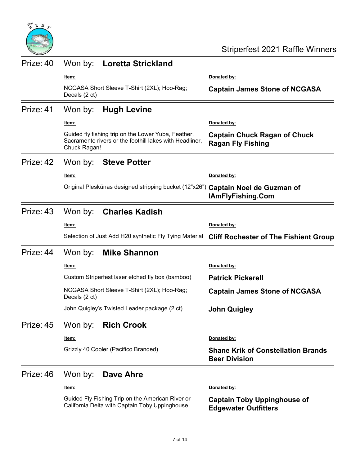

| Prize: 40 | Won by:       | <b>Loretta Strickland</b>                                                                                      |                                                                   |
|-----------|---------------|----------------------------------------------------------------------------------------------------------------|-------------------------------------------------------------------|
|           | ltem:         |                                                                                                                | Donated by:                                                       |
|           | Decals (2 ct) | NCGASA Short Sleeve T-Shirt (2XL); Hoo-Rag;                                                                    | <b>Captain James Stone of NCGASA</b>                              |
| Prize: 41 | Won by:       | <b>Hugh Levine</b>                                                                                             |                                                                   |
|           | <u>ltem:</u>  |                                                                                                                | Donated by:                                                       |
|           | Chuck Ragan!  | Guided fly fishing trip on the Lower Yuba, Feather,<br>Sacramento rivers or the foothill lakes with Headliner, | <b>Captain Chuck Ragan of Chuck</b><br><b>Ragan Fly Fishing</b>   |
| Prize: 42 | Won by:       | Steve Potter                                                                                                   |                                                                   |
|           | <u>ltem:</u>  |                                                                                                                | Donated by:                                                       |
|           |               | Original Pleskünas designed stripping bucket (12"x26") Captain Noel de Guzman of                               | <b>IAmFlyFishing.Com</b>                                          |
| Prize: 43 | Won by:       | <b>Charles Kadish</b>                                                                                          |                                                                   |
|           | Item:         |                                                                                                                | Donated by:                                                       |
|           |               | Selection of Just Add H20 synthetic Fly Tying Material                                                         | <b>Cliff Rochester of The Fishient Group</b>                      |
| Prize: 44 | Won by:       | <b>Mike Shannon</b>                                                                                            |                                                                   |
|           | ltem:         |                                                                                                                | Donated by:                                                       |
|           |               | Custom Striperfest laser etched fly box (bamboo)                                                               | <b>Patrick Pickerell</b>                                          |
|           | Decals (2 ct) | NCGASA Short Sleeve T-Shirt (2XL); Hoo-Rag;                                                                    | <b>Captain James Stone of NCGASA</b>                              |
|           |               | John Quigley's Twisted Leader package (2 ct)                                                                   | <b>John Quigley</b>                                               |
| Prize: 45 | Won by:       | <b>Rich Crook</b>                                                                                              |                                                                   |
|           | ltem:         |                                                                                                                | Donated by:                                                       |
|           |               | Grizzly 40 Cooler (Pacifico Branded)                                                                           | <b>Shane Krik of Constellation Brands</b><br><b>Beer Division</b> |
| Prize: 46 | Won by:       | Dave Ahre                                                                                                      |                                                                   |
|           | ltem:         |                                                                                                                | Donated by:                                                       |
|           |               | Guided Fly Fishing Trip on the American River or<br>California Delta with Captain Toby Uppinghouse             | <b>Captain Toby Uppinghouse of</b><br><b>Edgewater Outfitters</b> |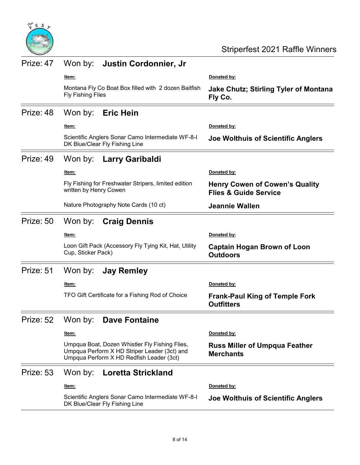

| Prize: 47 |                          | Won by: Justin Cordonnier, Jr                                                                                                              |                                                                           |
|-----------|--------------------------|--------------------------------------------------------------------------------------------------------------------------------------------|---------------------------------------------------------------------------|
|           | ltem:                    |                                                                                                                                            | Donated by:                                                               |
|           | <b>Fly Fishing Flies</b> | Montana Fly Co Boat Box filled with 2 dozen Baitfish                                                                                       | <b>Jake Chutz; Stirling Tyler of Montana</b><br>Fly Co.                   |
| Prize: 48 | Won by:                  | <b>Eric Hein</b>                                                                                                                           |                                                                           |
|           | ltem:                    |                                                                                                                                            | Donated by:                                                               |
|           |                          | Scientific Anglers Sonar Camo Intermediate WF-8-I<br>DK Blue/Clear Fly Fishing Line                                                        | Joe Wolthuis of Scientific Anglers                                        |
| Prize: 49 | Won by:                  | Larry Garibaldi                                                                                                                            |                                                                           |
|           | ltem:                    |                                                                                                                                            | Donated by:                                                               |
|           | written by Henry Cowen   | Fly Fishing for Freshwater Stripers, limited edition                                                                                       | <b>Henry Cowen of Cowen's Quality</b><br><b>Flies &amp; Guide Service</b> |
|           |                          | Nature Photography Note Cards (10 ct)                                                                                                      | <b>Jeannie Wallen</b>                                                     |
| Prize: 50 | Won by:                  | <b>Craig Dennis</b>                                                                                                                        |                                                                           |
|           | <u>ltem:</u>             |                                                                                                                                            | Donated by:                                                               |
|           | Cup, Sticker Pack)       | Loon Gift Pack (Accessory Fly Tying Kit, Hat, Utility                                                                                      | <b>Captain Hogan Brown of Loon</b><br><b>Outdoors</b>                     |
| Prize: 51 | Won by:                  | <b>Jay Remley</b>                                                                                                                          |                                                                           |
|           | <u>ltem:</u>             |                                                                                                                                            | Donated by:                                                               |
|           |                          | TFO Gift Certificate for a Fishing Rod of Choice                                                                                           | <b>Frank-Paul King of Temple Fork</b><br><b>Outfitters</b>                |
|           | Prize: 52 Won by:        | <b>Dave Fontaine</b>                                                                                                                       |                                                                           |
|           | <u>ltem:</u>             |                                                                                                                                            | Donated by:                                                               |
|           |                          | Umpqua Boat, Dozen Whistler Fly Fishing Flies,<br>Umpqua Perform X HD Striper Leader (3ct) and<br>Umpqua Perform X HD Redfish Leader (3ct) | <b>Russ Miller of Umpqua Feather</b><br><b>Merchants</b>                  |
| Prize: 53 | Won by:                  | <b>Loretta Strickland</b>                                                                                                                  |                                                                           |
|           | <u>ltem:</u>             |                                                                                                                                            | Donated by:                                                               |
|           |                          | Scientific Anglers Sonar Camo Intermediate WF-8-I<br>DK Blue/Clear Fly Fishing Line                                                        | Joe Wolthuis of Scientific Anglers                                        |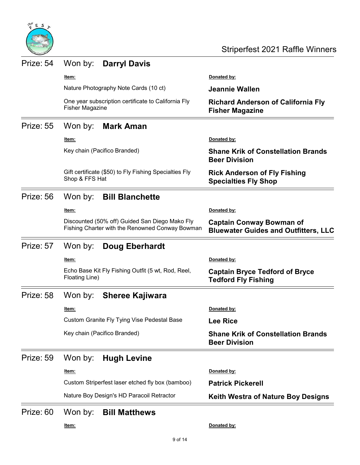

| Prize: 54 |                                       | Won by: Darryl Davis                                                                              |                                                                                |
|-----------|---------------------------------------|---------------------------------------------------------------------------------------------------|--------------------------------------------------------------------------------|
|           | <u>ltem:</u>                          |                                                                                                   | Donated by:                                                                    |
|           | Nature Photography Note Cards (10 ct) |                                                                                                   | Jeannie Wallen                                                                 |
|           | <b>Fisher Magazine</b>                | One year subscription certificate to California Fly                                               | <b>Richard Anderson of California Fly</b><br><b>Fisher Magazine</b>            |
| Prize: 55 | Won by:                               | <b>Mark Aman</b>                                                                                  |                                                                                |
|           | <u>ltem:</u>                          |                                                                                                   | Donated by:                                                                    |
|           |                                       | Key chain (Pacifico Branded)                                                                      | <b>Shane Krik of Constellation Brands</b><br><b>Beer Division</b>              |
|           | Shop & FFS Hat                        | Gift certificate (\$50) to Fly Fishing Specialties Fly                                            | <b>Rick Anderson of Fly Fishing</b><br><b>Specialties Fly Shop</b>             |
| Prize: 56 | Won by:                               | <b>Bill Blanchette</b>                                                                            |                                                                                |
|           | ltem:                                 |                                                                                                   | Donated by:                                                                    |
|           |                                       | Discounted (50% off) Guided San Diego Mako Fly<br>Fishing Charter with the Renowned Conway Bowman | <b>Captain Conway Bowman of</b><br><b>Bluewater Guides and Outfitters, LLC</b> |
| Prize: 57 | Won by:                               | <b>Doug Eberhardt</b>                                                                             |                                                                                |
|           | ltem:                                 |                                                                                                   | Donated by:                                                                    |
|           | Floating Line)                        | Echo Base Kit Fly Fishing Outfit (5 wt, Rod, Reel,                                                | <b>Captain Bryce Tedford of Bryce</b><br><b>Tedford Fly Fishing</b>            |
| Prize: 58 | Won by:                               | <b>Sheree Kajiwara</b>                                                                            |                                                                                |
|           | ltem:                                 |                                                                                                   | Donated by:                                                                    |
|           |                                       | Custom Granite Fly Tying Vise Pedestal Base                                                       | <b>Lee Rice</b>                                                                |
|           |                                       | Key chain (Pacifico Branded)                                                                      | <b>Shane Krik of Constellation Brands</b><br><b>Beer Division</b>              |
| Prize: 59 | Won by:                               | <b>Hugh Levine</b>                                                                                |                                                                                |
|           | <u>ltem:</u>                          |                                                                                                   | Donated by:                                                                    |
|           |                                       | Custom Striperfest laser etched fly box (bamboo)                                                  | <b>Patrick Pickerell</b>                                                       |
|           |                                       | Nature Boy Design's HD Paracoil Retractor                                                         | <b>Keith Westra of Nature Boy Designs</b>                                      |
| Prize: 60 | Won by:                               | <b>Bill Matthews</b>                                                                              |                                                                                |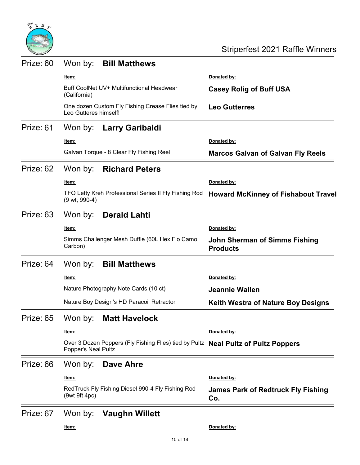

| Prize: 60 | Won by:               | <b>Bill Matthews</b>                                                               |                                                         |
|-----------|-----------------------|------------------------------------------------------------------------------------|---------------------------------------------------------|
|           | <u>ltem:</u>          |                                                                                    | Donated by:                                             |
|           | (California)          | Buff CoolNet UV+ Multifunctional Headwear                                          | <b>Casey Rolig of Buff USA</b>                          |
|           | Leo Gutteres himself! | One dozen Custom Fly Fishing Crease Flies tied by                                  | <b>Leo Gutterres</b>                                    |
| Prize: 61 | Won by:               | Larry Garibaldi                                                                    |                                                         |
|           | Item:                 |                                                                                    | Donated by:                                             |
|           |                       | Galvan Torque - 8 Clear Fly Fishing Reel                                           | <b>Marcos Galvan of Galvan Fly Reels</b>                |
| Prize: 62 | Won by:               | <b>Richard Peters</b>                                                              |                                                         |
|           | ltem:                 |                                                                                    | Donated by:                                             |
|           | (9 wt; 990-4)         | TFO Lefty Kreh Professional Series II Fly Fishing Rod                              | <b>Howard McKinney of Fishabout Travel</b>              |
| Prize: 63 | Won by:               | <b>Derald Lahti</b>                                                                |                                                         |
|           | <u>ltem:</u>          |                                                                                    | Donated by:                                             |
|           | Carbon)               | Simms Challenger Mesh Duffle (60L Hex Flo Camo                                     | <b>John Sherman of Simms Fishing</b><br><b>Products</b> |
| Prize: 64 | Won by:               | <b>Bill Matthews</b>                                                               |                                                         |
|           | <u>ltem:</u>          |                                                                                    | Donated by:                                             |
|           |                       | Nature Photography Note Cards (10 ct)                                              | <b>Jeannie Wallen</b>                                   |
|           |                       | Nature Boy Design's HD Paracoil Retractor                                          | <b>Keith Westra of Nature Boy Designs</b>               |
| Prize: 65 | Won by:               | <b>Matt Havelock</b>                                                               |                                                         |
|           | <u>ltem:</u>          |                                                                                    | Donated by:                                             |
|           | Popper's Neal Pultz   | Over 3 Dozen Poppers (Fly Fishing Flies) tied by Pultz Neal Pultz of Pultz Poppers |                                                         |
| Prize: 66 | Won by:               | Dave Ahre                                                                          |                                                         |
|           | <u>ltem:</u>          |                                                                                    | Donated by:                                             |
|           | (9wt 9ft 4pc)         | RedTruck Fly Fishing Diesel 990-4 Fly Fishing Rod                                  | <b>James Park of Redtruck Fly Fishing</b><br>Co.        |
| Prize: 67 | Won by:               | <b>Vaughn Willett</b>                                                              |                                                         |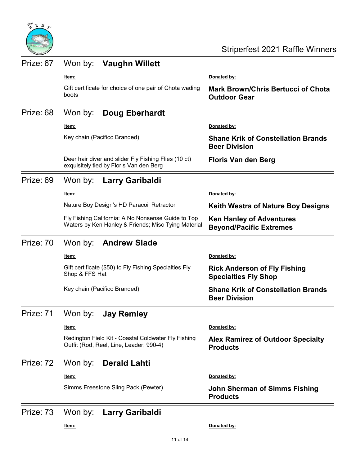

| Prize: 67 | Won by:<br><b>Vaughn Willett</b>                                                                          |                                                                    |
|-----------|-----------------------------------------------------------------------------------------------------------|--------------------------------------------------------------------|
|           | ltem:                                                                                                     | Donated by:                                                        |
|           | Gift certificate for choice of one pair of Chota wading<br>boots                                          | <b>Mark Brown/Chris Bertucci of Chota</b><br><b>Outdoor Gear</b>   |
| Prize: 68 | Won by:<br><b>Doug Eberhardt</b>                                                                          |                                                                    |
|           | <u>ltem:</u>                                                                                              | Donated by:                                                        |
|           | Key chain (Pacifico Branded)                                                                              | <b>Shane Krik of Constellation Brands</b><br><b>Beer Division</b>  |
|           | Deer hair diver and slider Fly Fishing Flies (10 ct)<br>exquisitely tied by Floris Van den Berg           | <b>Floris Van den Berg</b>                                         |
| Prize: 69 | Won by:<br>Larry Garibaldi                                                                                |                                                                    |
|           | <u>ltem:</u>                                                                                              | Donated by:                                                        |
|           | Nature Boy Design's HD Paracoil Retractor                                                                 | <b>Keith Westra of Nature Boy Designs</b>                          |
|           | Fly Fishing California: A No Nonsense Guide to Top<br>Waters by Ken Hanley & Friends; Misc Tying Material | <b>Ken Hanley of Adventures</b><br><b>Beyond/Pacific Extremes</b>  |
| Prize: 70 | Won by:<br><b>Andrew Slade</b>                                                                            |                                                                    |
|           | <u>ltem:</u>                                                                                              | Donated by:                                                        |
|           | Gift certificate (\$50) to Fly Fishing Specialties Fly<br>Shop & FFS Hat                                  | <b>Rick Anderson of Fly Fishing</b><br><b>Specialties Fly Shop</b> |
|           | Key chain (Pacifico Branded)                                                                              | <b>Shane Krik of Constellation Brands</b><br><b>Beer Division</b>  |
| Prize: 71 | Won by:<br><b>Jay Remley</b>                                                                              |                                                                    |
|           | Item:                                                                                                     | Donated by:                                                        |
|           | Redington Field Kit - Coastal Coldwater Fly Fishing<br>Outfit (Rod, Reel, Line, Leader; 990-4)            | <b>Alex Ramirez of Outdoor Specialty</b><br><b>Products</b>        |
| Prize: 72 | Won by:<br><b>Derald Lahti</b>                                                                            |                                                                    |
|           | Item:                                                                                                     | Donated by:                                                        |
|           | Simms Freestone Sling Pack (Pewter)                                                                       | <b>John Sherman of Simms Fishing</b><br><b>Products</b>            |
| Prize: 73 | Won by:<br>Larry Garibaldi                                                                                |                                                                    |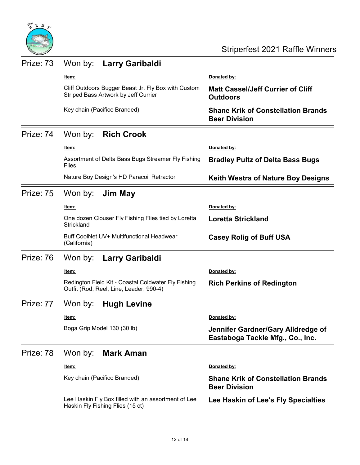

| Prize: 73 | Won by:<br>Larry Garibaldi                                                                     |                                                                        |
|-----------|------------------------------------------------------------------------------------------------|------------------------------------------------------------------------|
|           | ltem:                                                                                          | Donated by:                                                            |
|           | Cliff Outdoors Bugger Beast Jr. Fly Box with Custom<br>Striped Bass Artwork by Jeff Currier    | <b>Matt Cassel/Jeff Currier of Cliff</b><br><b>Outdoors</b>            |
|           | Key chain (Pacifico Branded)                                                                   | <b>Shane Krik of Constellation Brands</b><br><b>Beer Division</b>      |
| Prize: 74 | Won by:<br><b>Rich Crook</b>                                                                   |                                                                        |
|           | Item:                                                                                          | Donated by:                                                            |
|           | Assortment of Delta Bass Bugs Streamer Fly Fishing<br>Flies                                    | <b>Bradley Pultz of Delta Bass Bugs</b>                                |
|           | Nature Boy Design's HD Paracoil Retractor                                                      | <b>Keith Westra of Nature Boy Designs</b>                              |
| Prize: 75 | Won by:<br>Jim May                                                                             |                                                                        |
|           | ltem:                                                                                          | Donated by:                                                            |
|           | One dozen Clouser Fly Fishing Flies tied by Loretta<br>Strickland                              | <b>Loretta Strickland</b>                                              |
|           | Buff CoolNet UV+ Multifunctional Headwear<br>(California)                                      | <b>Casey Rolig of Buff USA</b>                                         |
| Prize: 76 | Won by:<br><b>Larry Garibaldi</b>                                                              |                                                                        |
|           | ltem:                                                                                          | Donated by:                                                            |
|           | Redington Field Kit - Coastal Coldwater Fly Fishing<br>Outfit (Rod, Reel, Line, Leader; 990-4) | <b>Rich Perkins of Redington</b>                                       |
| Prize: 77 | Won by:<br><b>Hugh Levine</b>                                                                  |                                                                        |
|           | ltem:                                                                                          | Donated by:                                                            |
|           | Boga Grip Model 130 (30 lb)                                                                    | Jennifer Gardner/Gary Alldredge of<br>Eastaboga Tackle Mfg., Co., Inc. |
| Prize: 78 | Won by:<br><b>Mark Aman</b>                                                                    |                                                                        |
|           | <u>ltem:</u>                                                                                   | Donated by:                                                            |
|           | Key chain (Pacifico Branded)                                                                   | <b>Shane Krik of Constellation Brands</b><br><b>Beer Division</b>      |
|           | Lee Haskin Fly Box filled with an assortment of Lee<br>Haskin Fly Fishing Flies (15 ct)        | Lee Haskin of Lee's Fly Specialties                                    |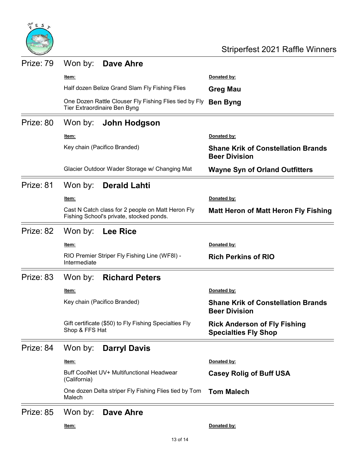

| Prize: 79              | Won by:                                                                                       | Dave Ahre                                     |                                                                    |
|------------------------|-----------------------------------------------------------------------------------------------|-----------------------------------------------|--------------------------------------------------------------------|
|                        | ltem:                                                                                         |                                               | Donated by:                                                        |
|                        | Half dozen Belize Grand Slam Fly Fishing Flies                                                |                                               | <b>Greg Mau</b>                                                    |
|                        | One Dozen Rattle Clouser Fly Fishing Flies tied by Fly<br>Tier Extraordinaire Ben Byng        |                                               | <b>Ben Byng</b>                                                    |
| Prize: 80              | Won by:                                                                                       | John Hodgson                                  |                                                                    |
|                        | <u>ltem:</u>                                                                                  |                                               | Donated by:                                                        |
|                        |                                                                                               | Key chain (Pacifico Branded)                  | <b>Shane Krik of Constellation Brands</b><br><b>Beer Division</b>  |
|                        |                                                                                               | Glacier Outdoor Wader Storage w/ Changing Mat | <b>Wayne Syn of Orland Outfitters</b>                              |
| Prize: 81              | Won by:                                                                                       | <b>Derald Lahti</b>                           |                                                                    |
|                        | ltem:                                                                                         |                                               | Donated by:                                                        |
|                        | Cast N Catch class for 2 people on Matt Heron Fly<br>Fishing School's private, stocked ponds. |                                               | <b>Matt Heron of Matt Heron Fly Fishing</b>                        |
| Prize: 82              | Won by:                                                                                       | <b>Lee Rice</b>                               |                                                                    |
|                        | ltem:                                                                                         |                                               | Donated by:                                                        |
|                        | Intermediate                                                                                  | RIO Premier Striper Fly Fishing Line (WF8I) - | <b>Rich Perkins of RIO</b>                                         |
| Prize: 83              | Won by:                                                                                       | <b>Richard Peters</b>                         |                                                                    |
|                        | <u>ltem:</u>                                                                                  |                                               | Donated by:                                                        |
|                        |                                                                                               | Key chain (Pacifico Branded)                  | <b>Shane Krik of Constellation Brands</b><br><b>Beer Division</b>  |
|                        | Gift certificate (\$50) to Fly Fishing Specialties Fly<br>Shop & FFS Hat                      |                                               | <b>Rick Anderson of Fly Fishing</b><br><b>Specialties Fly Shop</b> |
| Prize: 84              | Won by:                                                                                       | <b>Darryl Davis</b>                           |                                                                    |
|                        | ltem:                                                                                         |                                               | Donated by:                                                        |
|                        | Buff CoolNet UV+ Multifunctional Headwear<br>(California)                                     |                                               | <b>Casey Rolig of Buff USA</b>                                     |
|                        | One dozen Delta striper Fly Fishing Flies tied by Tom<br>Malech                               |                                               | <b>Tom Malech</b>                                                  |
| $Diriz \rightarrow 95$ |                                                                                               | $M_{on}$ but Dove Abro                        |                                                                    |

## Prize: 85 Won by: Dave Ahre